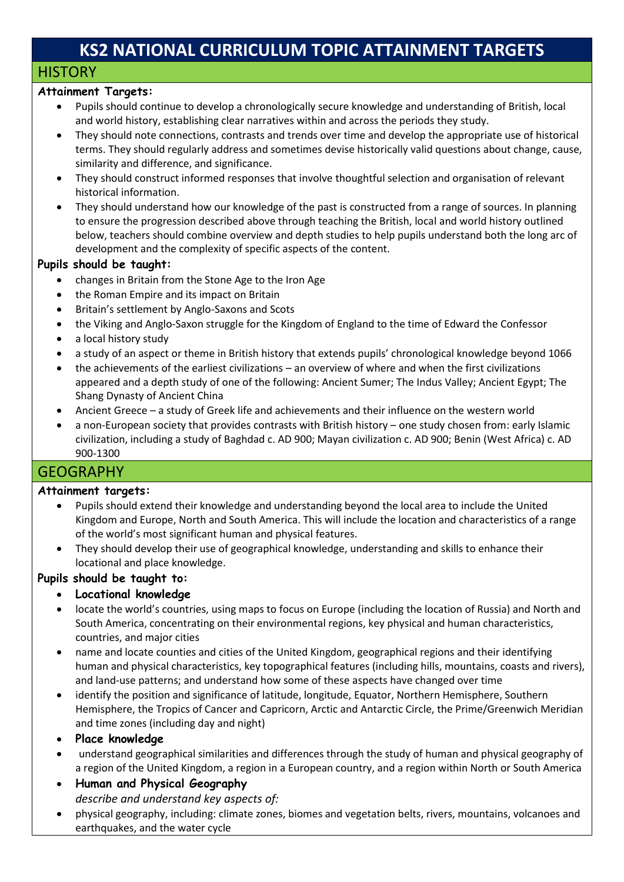# **KS2 NATIONAL CURRICULUM TOPIC ATTAINMENT TARGETS**

# **HISTORY**

#### **Attainment Targets:**

- Pupils should continue to develop a chronologically secure knowledge and understanding of British, local and world history, establishing clear narratives within and across the periods they study.
- They should note connections, contrasts and trends over time and develop the appropriate use of historical terms. They should regularly address and sometimes devise historically valid questions about change, cause, similarity and difference, and significance.
- They should construct informed responses that involve thoughtful selection and organisation of relevant historical information.
- They should understand how our knowledge of the past is constructed from a range of sources. In planning to ensure the progression described above through teaching the British, local and world history outlined below, teachers should combine overview and depth studies to help pupils understand both the long arc of development and the complexity of specific aspects of the content.

#### **Pupils should be taught:**

- changes in Britain from the Stone Age to the Iron Age
- the Roman Empire and its impact on Britain
- Britain's settlement by Anglo-Saxons and Scots
- the Viking and Anglo-Saxon struggle for the Kingdom of England to the time of Edward the Confessor
- a local history study
- a study of an aspect or theme in British history that extends pupils' chronological knowledge beyond 1066
- the achievements of the earliest civilizations an overview of where and when the first civilizations appeared and a depth study of one of the following: Ancient Sumer; The Indus Valley; Ancient Egypt; The Shang Dynasty of Ancient China
- Ancient Greece a study of Greek life and achievements and their influence on the western world
- a non-European society that provides contrasts with British history one study chosen from: early Islamic civilization, including a study of Baghdad c. AD 900; Mayan civilization c. AD 900; Benin (West Africa) c. AD 900-1300

## GEOGRAPHY

#### **Attainment targets:**

- Pupils should extend their knowledge and understanding beyond the local area to include the United Kingdom and Europe, North and South America. This will include the location and characteristics of a range of the world's most significant human and physical features.
- They should develop their use of geographical knowledge, understanding and skills to enhance their locational and place knowledge.

#### **Pupils should be taught to:**

- **Locational knowledge**
- locate the world's countries, using maps to focus on Europe (including the location of Russia) and North and South America, concentrating on their environmental regions, key physical and human characteristics, countries, and major cities
- name and locate counties and cities of the United Kingdom, geographical regions and their identifying human and physical characteristics, key topographical features (including hills, mountains, coasts and rivers), and land-use patterns; and understand how some of these aspects have changed over time
- identify the position and significance of latitude, longitude, Equator, Northern Hemisphere, Southern Hemisphere, the Tropics of Cancer and Capricorn, Arctic and Antarctic Circle, the Prime/Greenwich Meridian and time zones (including day and night)
- **Place knowledge**
- understand geographical similarities and differences through the study of human and physical geography of a region of the United Kingdom, a region in a European country, and a region within North or South America
- **Human and Physical Geography** *describe and understand key aspects of:*
- physical geography, including: climate zones, biomes and vegetation belts, rivers, mountains, volcanoes and earthquakes, and the water cycle